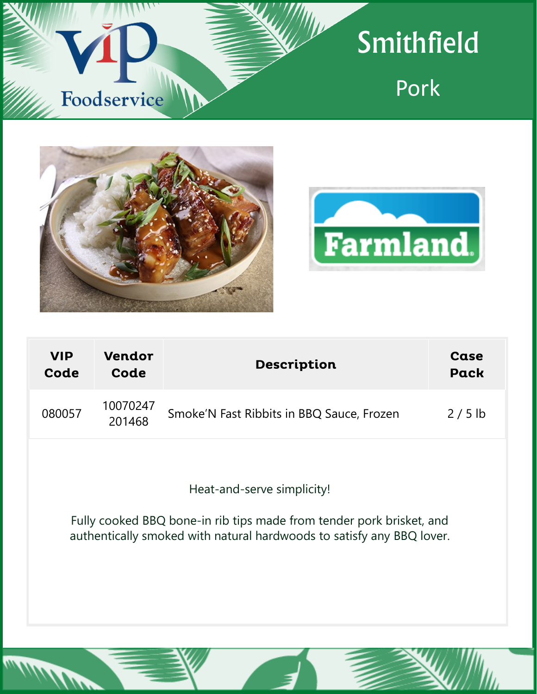

# Smithfield

Pork





| <b>VIP</b><br>Code | <b>Vendor</b><br>Code | <b>Description</b>                        | Case<br><b>Pack</b> |
|--------------------|-----------------------|-------------------------------------------|---------------------|
| 080057             | 10070247<br>201468    | Smoke'N Fast Ribbits in BBQ Sauce, Frozen | $2/5$ lb            |
|                    |                       |                                           |                     |

Heat-and-serve simplicity!

Fully cooked BBQ bone-in rib tips made from tender pork brisket, and authentically smoked with natural hardwoods to satisfy any BBQ lover.